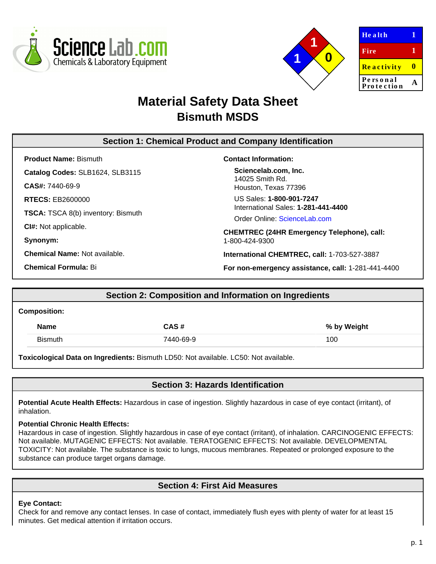



| Health                 |   |
|------------------------|---|
| Fire                   | 1 |
| <b>Reactivity</b>      | Ш |
| Personal<br>Protection |   |

# **Material Safety Data Sheet Bismuth MSDS**

## **Section 1: Chemical Product and Company Identification**

**Product Name:** Bismuth **Catalog Codes:** SLB1624, SLB3115 **CAS#:** 7440-69-9 **RTECS:** EB2600000

**TSCA:** TSCA 8(b) inventory: Bismuth

**CI#:** Not applicable.

**Synonym:**

**Chemical Name:** Not available.

**Chemical Formula:** Bi

### **Contact Information:**

**Sciencelab.com, Inc.** 14025 Smith Rd. Houston, Texas 77396

US Sales: **1-800-901-7247** International Sales: **1-281-441-4400**

Order Online: [ScienceLab.com](http://www.sciencelab.com/)

**CHEMTREC (24HR Emergency Telephone), call:** 1-800-424-9300

**International CHEMTREC, call:** 1-703-527-3887

**For non-emergency assistance, call:** 1-281-441-4400

# **Section 2: Composition and Information on Ingredients**

#### **Composition:**

| <b>Name</b>    | CAS#      | % by Weight |
|----------------|-----------|-------------|
| <b>Bismuth</b> | 7440-69-9 | 100         |

**Toxicological Data on Ingredients:** Bismuth LD50: Not available. LC50: Not available.

### **Section 3: Hazards Identification**

**Potential Acute Health Effects:** Hazardous in case of ingestion. Slightly hazardous in case of eye contact (irritant), of inhalation.

### **Potential Chronic Health Effects:**

Hazardous in case of ingestion. Slightly hazardous in case of eye contact (irritant), of inhalation. CARCINOGENIC EFFECTS: Not available. MUTAGENIC EFFECTS: Not available. TERATOGENIC EFFECTS: Not available. DEVELOPMENTAL TOXICITY: Not available. The substance is toxic to lungs, mucous membranes. Repeated or prolonged exposure to the substance can produce target organs damage.

# **Section 4: First Aid Measures**

### **Eye Contact:**

Check for and remove any contact lenses. In case of contact, immediately flush eyes with plenty of water for at least 15 minutes. Get medical attention if irritation occurs.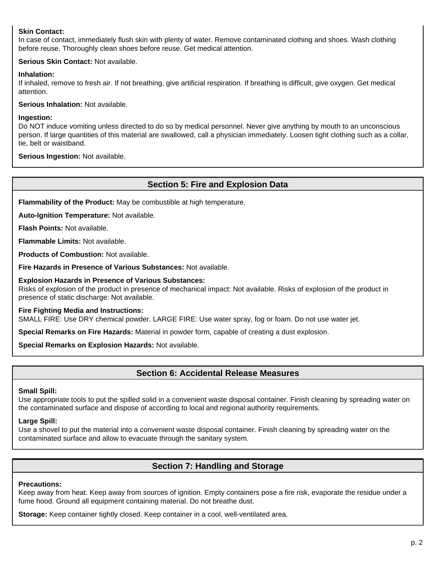### **Skin Contact:**

In case of contact, immediately flush skin with plenty of water. Remove contaminated clothing and shoes. Wash clothing before reuse. Thoroughly clean shoes before reuse. Get medical attention.

#### **Serious Skin Contact:** Not available.

#### **Inhalation:**

If inhaled, remove to fresh air. If not breathing, give artificial respiration. If breathing is difficult, give oxygen. Get medical attention.

**Serious Inhalation:** Not available.

#### **Ingestion:**

Do NOT induce vomiting unless directed to do so by medical personnel. Never give anything by mouth to an unconscious person. If large quantities of this material are swallowed, call a physician immediately. Loosen tight clothing such as a collar, tie, belt or waistband.

**Serious Ingestion:** Not available.

### **Section 5: Fire and Explosion Data**

**Flammability of the Product:** May be combustible at high temperature.

**Auto-Ignition Temperature:** Not available.

**Flash Points:** Not available.

**Flammable Limits:** Not available.

**Products of Combustion:** Not available.

**Fire Hazards in Presence of Various Substances:** Not available.

#### **Explosion Hazards in Presence of Various Substances:**

Risks of explosion of the product in presence of mechanical impact: Not available. Risks of explosion of the product in presence of static discharge: Not available.

#### **Fire Fighting Media and Instructions:**

SMALL FIRE: Use DRY chemical powder. LARGE FIRE: Use water spray, fog or foam. Do not use water jet.

**Special Remarks on Fire Hazards:** Material in powder form, capable of creating a dust explosion.

**Special Remarks on Explosion Hazards:** Not available.

### **Section 6: Accidental Release Measures**

#### **Small Spill:**

Use appropriate tools to put the spilled solid in a convenient waste disposal container. Finish cleaning by spreading water on the contaminated surface and dispose of according to local and regional authority requirements.

#### **Large Spill:**

Use a shovel to put the material into a convenient waste disposal container. Finish cleaning by spreading water on the contaminated surface and allow to evacuate through the sanitary system.

### **Section 7: Handling and Storage**

#### **Precautions:**

Keep away from heat. Keep away from sources of ignition. Empty containers pose a fire risk, evaporate the residue under a fume hood. Ground all equipment containing material. Do not breathe dust.

**Storage:** Keep container tightly closed. Keep container in a cool, well-ventilated area.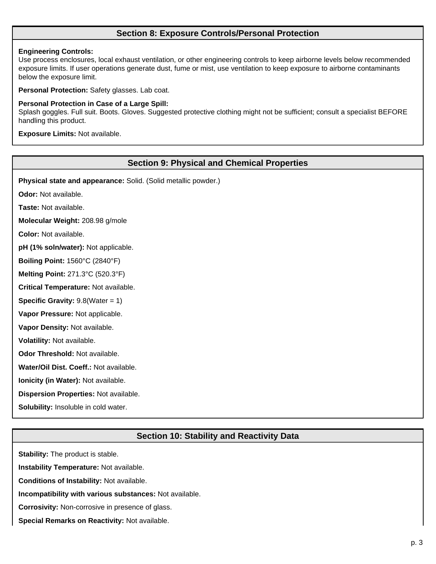### **Section 8: Exposure Controls/Personal Protection**

#### **Engineering Controls:**

Use process enclosures, local exhaust ventilation, or other engineering controls to keep airborne levels below recommended exposure limits. If user operations generate dust, fume or mist, use ventilation to keep exposure to airborne contaminants below the exposure limit.

**Personal Protection:** Safety glasses. Lab coat.

#### **Personal Protection in Case of a Large Spill:**

Splash goggles. Full suit. Boots. Gloves. Suggested protective clothing might not be sufficient; consult a specialist BEFORE handling this product.

**Exposure Limits:** Not available.

### **Section 9: Physical and Chemical Properties**

**Physical state and appearance:** Solid. (Solid metallic powder.)

**Odor:** Not available.

**Taste:** Not available.

**Molecular Weight:** 208.98 g/mole

**Color:** Not available.

**pH (1% soln/water):** Not applicable.

**Boiling Point:** 1560°C (2840°F)

**Melting Point:** 271.3°C (520.3°F)

**Critical Temperature:** Not available.

**Specific Gravity:** 9.8(Water = 1)

**Vapor Pressure:** Not applicable.

**Vapor Density:** Not available.

**Volatility:** Not available.

**Odor Threshold:** Not available.

**Water/Oil Dist. Coeff.:** Not available.

**Ionicity (in Water):** Not available.

**Dispersion Properties:** Not available.

**Solubility:** Insoluble in cold water.

### **Section 10: Stability and Reactivity Data**

**Stability:** The product is stable. **Instability Temperature:** Not available. **Conditions of Instability:** Not available. **Incompatibility with various substances:** Not available. **Corrosivity:** Non-corrosive in presence of glass. **Special Remarks on Reactivity:** Not available.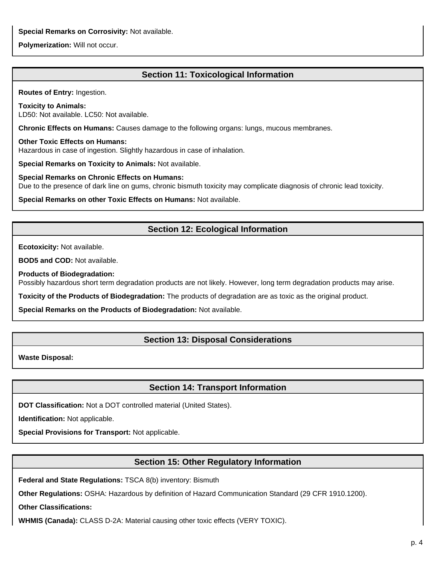**Special Remarks on Corrosivity:** Not available.

**Polymerization:** Will not occur.

# **Section 11: Toxicological Information**

**Routes of Entry:** Ingestion.

**Toxicity to Animals:** LD50: Not available. LC50: Not available.

**Chronic Effects on Humans:** Causes damage to the following organs: lungs, mucous membranes.

**Other Toxic Effects on Humans:** Hazardous in case of ingestion. Slightly hazardous in case of inhalation.

**Special Remarks on Toxicity to Animals:** Not available.

**Special Remarks on Chronic Effects on Humans:** Due to the presence of dark line on gums, chronic bismuth toxicity may complicate diagnosis of chronic lead toxicity.

**Special Remarks on other Toxic Effects on Humans:** Not available.

# **Section 12: Ecological Information**

**Ecotoxicity:** Not available.

**BOD5 and COD:** Not available.

**Products of Biodegradation:**

Possibly hazardous short term degradation products are not likely. However, long term degradation products may arise.

**Toxicity of the Products of Biodegradation:** The products of degradation are as toxic as the original product.

**Special Remarks on the Products of Biodegradation:** Not available.

### **Section 13: Disposal Considerations**

**Waste Disposal:**

### **Section 14: Transport Information**

**DOT Classification:** Not a DOT controlled material (United States).

**Identification:** Not applicable.

**Special Provisions for Transport:** Not applicable.

### **Section 15: Other Regulatory Information**

**Federal and State Regulations:** TSCA 8(b) inventory: Bismuth

**Other Regulations:** OSHA: Hazardous by definition of Hazard Communication Standard (29 CFR 1910.1200).

**Other Classifications:**

**WHMIS (Canada):** CLASS D-2A: Material causing other toxic effects (VERY TOXIC).